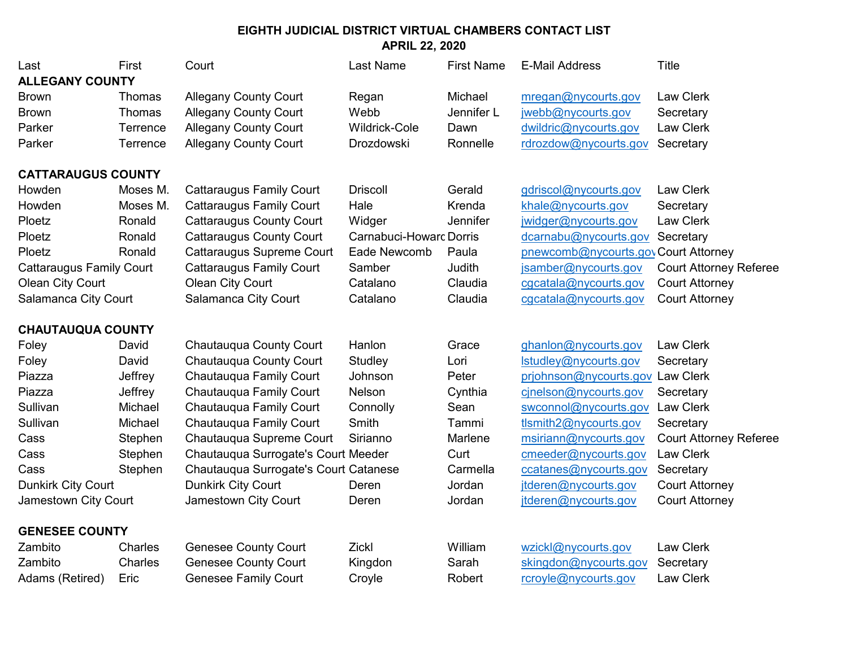| Last                            | First    | Court                                 | <b>Last Name</b>        | <b>First Name</b> | <b>E-Mail Address</b>               | <b>Title</b>                  |  |  |
|---------------------------------|----------|---------------------------------------|-------------------------|-------------------|-------------------------------------|-------------------------------|--|--|
| <b>ALLEGANY COUNTY</b>          |          |                                       |                         |                   |                                     |                               |  |  |
| <b>Brown</b>                    | Thomas   | <b>Allegany County Court</b>          | Regan                   | Michael           | mregan@nycourts.gov                 | Law Clerk                     |  |  |
| <b>Brown</b>                    | Thomas   | <b>Allegany County Court</b>          | Webb                    | Jennifer L        | jwebb@nycourts.gov                  | Secretary                     |  |  |
| Parker                          | Terrence | <b>Allegany County Court</b>          | Wildrick-Cole           | Dawn              | dwildric@nycourts.gov               | Law Clerk                     |  |  |
| Parker                          | Terrence | <b>Allegany County Court</b>          | Drozdowski              | Ronnelle          | rdrozdow@nycourts.gov               | Secretary                     |  |  |
| <b>CATTARAUGUS COUNTY</b>       |          |                                       |                         |                   |                                     |                               |  |  |
| Howden                          | Moses M. | <b>Cattaraugus Family Court</b>       | <b>Driscoll</b>         | Gerald            | gdriscol@nycourts.gov               | <b>Law Clerk</b>              |  |  |
| Howden                          | Moses M. | <b>Cattaraugus Family Court</b>       | Hale                    | Krenda            | khale@nycourts.gov                  | Secretary                     |  |  |
| Ploetz                          | Ronald   | <b>Cattaraugus County Court</b>       | Widger                  | Jennifer          | jwidger@nycourts.gov                | Law Clerk                     |  |  |
| Ploetz                          | Ronald   | <b>Cattaraugus County Court</b>       | Carnabuci-Howard Dorris |                   | dcarnabu@nycourts.gov               | Secretary                     |  |  |
| Ploetz                          | Ronald   | Cattaraugus Supreme Court             | Eade Newcomb            | Paula             | pnewcomb@nycourts.govCourt Attorney |                               |  |  |
| <b>Cattaraugus Family Court</b> |          | <b>Cattaraugus Family Court</b>       | Samber                  | Judith            | jsamber@nycourts.gov                | <b>Court Attorney Referee</b> |  |  |
| <b>Olean City Court</b>         |          | Olean City Court                      | Catalano                | Claudia           | cgcatala@nycourts.gov               | <b>Court Attorney</b>         |  |  |
| Salamanca City Court            |          | Salamanca City Court                  | Catalano                | Claudia           | cgcatala@nycourts.gov               | <b>Court Attorney</b>         |  |  |
|                                 |          |                                       |                         |                   |                                     |                               |  |  |
| <b>CHAUTAUQUA COUNTY</b>        |          |                                       |                         |                   |                                     |                               |  |  |
| Foley                           | David    | Chautauqua County Court               | Hanlon                  | Grace             | ghanlon@nycourts.gov                | <b>Law Clerk</b>              |  |  |
| Foley                           | David    | Chautauqua County Court               | Studley                 | Lori              | Istudley@nycourts.gov               | Secretary                     |  |  |
| Piazza                          | Jeffrey  | Chautauqua Family Court               | Johnson                 | Peter             | prjohnson@nycourts.gov Law Clerk    |                               |  |  |
| Piazza                          | Jeffrey  | Chautauqua Family Court               | Nelson                  | Cynthia           | cinelson@nycourts.gov               | Secretary                     |  |  |
| Sullivan                        | Michael  | Chautauqua Family Court               | Connolly                | Sean              | swconnol@nycourts.gov               | <b>Law Clerk</b>              |  |  |
| Sullivan                        | Michael  | Chautauqua Family Court               | Smith                   | Tammi             | tlsmith2@nycourts.gov               | Secretary                     |  |  |
| Cass                            | Stephen  | Chautauqua Supreme Court              | Sirianno                | Marlene           | msiriann@nycourts.gov               | <b>Court Attorney Referee</b> |  |  |
| Cass                            | Stephen  | Chautauqua Surrogate's Court Meeder   |                         | Curt              | cmeeder@nycourts.gov                | <b>Law Clerk</b>              |  |  |
| Cass                            | Stephen  | Chautauqua Surrogate's Court Catanese |                         | Carmella          | ccatanes@nycourts.gov               | Secretary                     |  |  |
| <b>Dunkirk City Court</b>       |          | Dunkirk City Court                    | Deren                   | Jordan            | jtderen@nycourts.gov                | <b>Court Attorney</b>         |  |  |
| Jamestown City Court            |          | Jamestown City Court                  | Deren                   | Jordan            | itderen@nycourts.gov                | <b>Court Attorney</b>         |  |  |
| <b>GENESEE COUNTY</b>           |          |                                       |                         |                   |                                     |                               |  |  |
| Zambito                         | Charles  | <b>Genesee County Court</b>           | Zickl                   | William           | wzickl@nycourts.gov                 | Law Clerk                     |  |  |
| Zambito                         | Charles  | <b>Genesee County Court</b>           | Kingdon                 | Sarah             | skingdon@nycourts.gov               | Secretary                     |  |  |
| Adams (Retired)                 | Eric     | <b>Genesee Family Court</b>           | Croyle                  | Robert            | rcroyle@nycourts.gov                | Law Clerk                     |  |  |
|                                 |          |                                       |                         |                   |                                     |                               |  |  |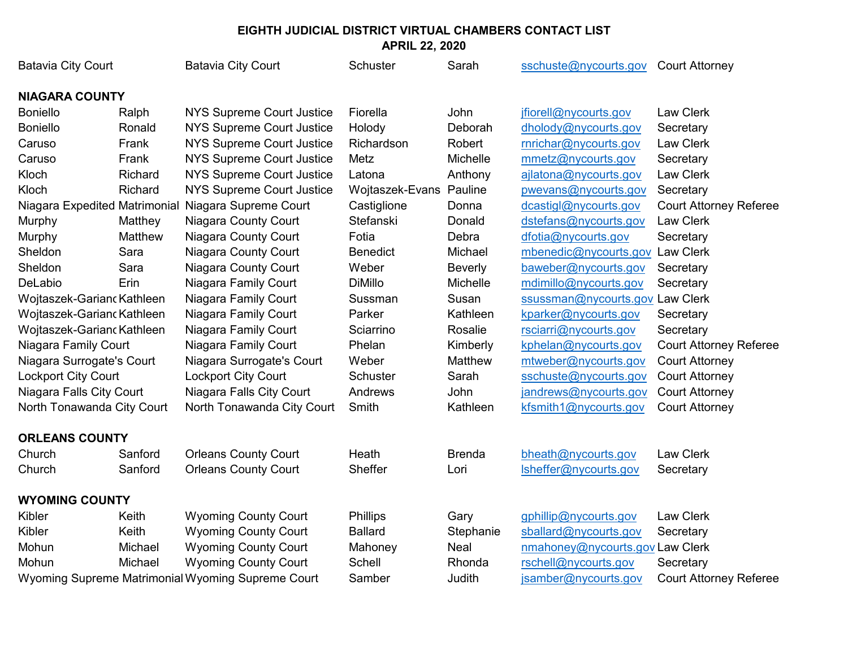| <b>Batavia City Court</b>     |         | <b>Batavia City Court</b>                         | Schuster        | Sarah          | sschuste@nycourts.gov           | <b>Court Attorney</b>         |
|-------------------------------|---------|---------------------------------------------------|-----------------|----------------|---------------------------------|-------------------------------|
| <b>NIAGARA COUNTY</b>         |         |                                                   |                 |                |                                 |                               |
| <b>Boniello</b>               | Ralph   | <b>NYS Supreme Court Justice</b>                  | Fiorella        | John           | jfiorell@nycourts.gov           | Law Clerk                     |
| <b>Boniello</b>               | Ronald  | <b>NYS Supreme Court Justice</b>                  | Holody          | Deborah        | dholody@nycourts.gov            | Secretary                     |
| Caruso                        | Frank   | <b>NYS Supreme Court Justice</b>                  | Richardson      | Robert         | rnrichar@nycourts.gov           | <b>Law Clerk</b>              |
| Caruso                        | Frank   | <b>NYS Supreme Court Justice</b>                  | Metz            | Michelle       | mmetz@nycourts.gov              | Secretary                     |
| Kloch                         | Richard | <b>NYS Supreme Court Justice</b>                  | Latona          | Anthony        | ajlatona@nycourts.gov           | Law Clerk                     |
| Kloch                         | Richard | <b>NYS Supreme Court Justice</b>                  | Wojtaszek-Evans | Pauline        | pwevans@nycourts.gov            | Secretary                     |
| Niagara Expedited Matrimonial |         | Niagara Supreme Court                             | Castiglione     | Donna          | dcastigl@nycourts.gov           | <b>Court Attorney Referee</b> |
| Murphy                        | Matthey | Niagara County Court                              | Stefanski       | Donald         | dstefans@nycourts.gov           | <b>Law Clerk</b>              |
| Murphy                        | Matthew | Niagara County Court                              | Fotia           | Debra          | dfotia@nycourts.gov             | Secretary                     |
| Sheldon                       | Sara    | Niagara County Court                              | <b>Benedict</b> | Michael        | mbenedic@nycourts.gov Law Clerk |                               |
| Sheldon                       | Sara    | Niagara County Court                              | Weber           | <b>Beverly</b> | baweber@nycourts.gov            | Secretary                     |
| DeLabio                       | Erin    | Niagara Family Court                              | <b>DiMillo</b>  | Michelle       | mdimillo@nycourts.gov           | Secretary                     |
| Wojtaszek-Garianc Kathleen    |         | Niagara Family Court                              | Sussman         | Susan          | ssussman@nycourts.gov Law Clerk |                               |
| Wojtaszek-Garianc Kathleen    |         | Niagara Family Court                              | Parker          | Kathleen       | kparker@nycourts.gov            | Secretary                     |
| Wojtaszek-Garianc Kathleen    |         | Niagara Family Court                              | Sciarrino       | Rosalie        | rsciarri@nycourts.gov           | Secretary                     |
| Niagara Family Court          |         | Niagara Family Court                              | Phelan          | Kimberly       | kphelan@nycourts.gov            | <b>Court Attorney Referee</b> |
| Niagara Surrogate's Court     |         | Niagara Surrogate's Court                         | Weber           | Matthew        | mtweber@nycourts.gov            | <b>Court Attorney</b>         |
| <b>Lockport City Court</b>    |         | <b>Lockport City Court</b>                        | Schuster        | Sarah          | sschuste@nycourts.gov           | <b>Court Attorney</b>         |
| Niagara Falls City Court      |         | Niagara Falls City Court                          | Andrews         | John           | jandrews@nycourts.gov           | <b>Court Attorney</b>         |
| North Tonawanda City Court    |         | North Tonawanda City Court                        | Smith           | Kathleen       | kfsmith1@nycourts.gov           | <b>Court Attorney</b>         |
| <b>ORLEANS COUNTY</b>         |         |                                                   |                 |                |                                 |                               |
| Church                        | Sanford | <b>Orleans County Court</b>                       | Heath           | <b>Brenda</b>  | bheath@nycourts.gov             | Law Clerk                     |
| Church                        | Sanford | <b>Orleans County Court</b>                       | Sheffer         | Lori           | Isheffer@nycourts.gov           | Secretary                     |
| <b>WYOMING COUNTY</b>         |         |                                                   |                 |                |                                 |                               |
| Kibler                        | Keith   | <b>Wyoming County Court</b>                       | Phillips        | Gary           | gphillip@nycourts.gov           | Law Clerk                     |
| Kibler                        | Keith   | <b>Wyoming County Court</b>                       | <b>Ballard</b>  | Stephanie      | sballard@nycourts.gov           | Secretary                     |
| Mohun                         | Michael | <b>Wyoming County Court</b>                       | Mahoney         | Neal           | nmahoney@nycourts.gov Law Clerk |                               |
| Mohun                         | Michael | <b>Wyoming County Court</b>                       | Schell          | Rhonda         | rschell@nycourts.gov            | Secretary                     |
|                               |         | Wyoming Supreme Matrimonial Wyoming Supreme Court | Samber          | Judith         | jsamber@nycourts.gov            | <b>Court Attorney Referee</b> |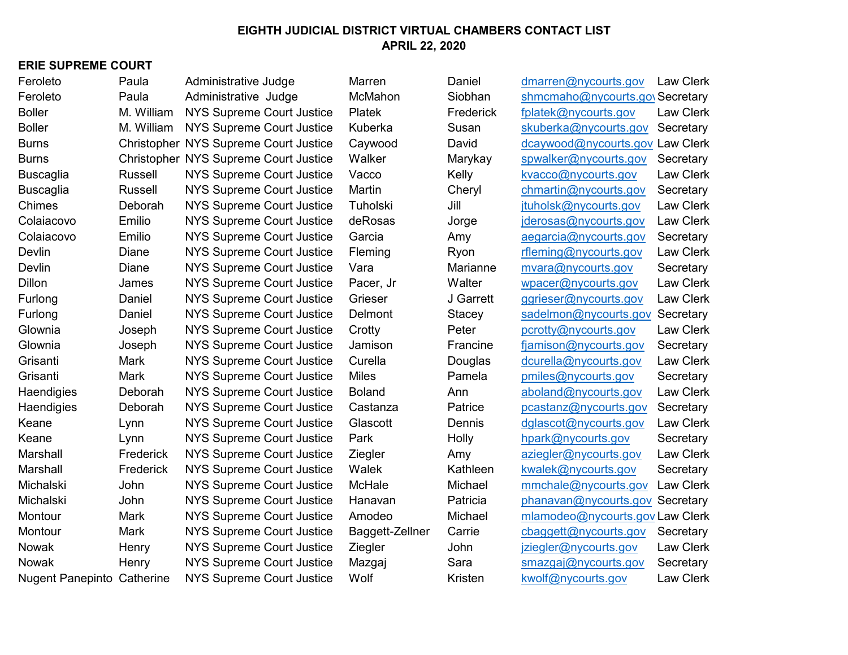#### **ERIE SUPREME COURT**

| Feroleto                          | Paula          | Administrative Judge                         | Marren          | Daniel    | dmarren@nycourts.gov            | Law Clerk        |
|-----------------------------------|----------------|----------------------------------------------|-----------------|-----------|---------------------------------|------------------|
| Feroleto                          | Paula          | Administrative Judge                         | McMahon         | Siobhan   | shmcmaho@nycourts.go\Secretary  |                  |
| <b>Boller</b>                     | M. William     | <b>NYS Supreme Court Justice</b>             | Platek          | Frederick | fplatek@nycourts.gov            | <b>Law Clerk</b> |
| <b>Boller</b>                     | M. William     | <b>NYS Supreme Court Justice</b>             | Kuberka         | Susan     | skuberka@nycourts.gov           | Secretary        |
| <b>Burns</b>                      |                | Christopher NYS Supreme Court Justice        | Caywood         | David     | dcaywood@nycourts.gov Law Clerk |                  |
| <b>Burns</b>                      |                | <b>Christopher NYS Supreme Court Justice</b> | Walker          | Marykay   | spwalker@nycourts.gov           | Secretary        |
| <b>Buscaglia</b>                  | <b>Russell</b> | <b>NYS Supreme Court Justice</b>             | Vacco           | Kelly     | kvacco@nycourts.gov             | Law Clerk        |
| <b>Buscaglia</b>                  | <b>Russell</b> | <b>NYS Supreme Court Justice</b>             | Martin          | Cheryl    | chmartin@nycourts.gov           | Secretary        |
| Chimes                            | Deborah        | <b>NYS Supreme Court Justice</b>             | Tuholski        | Jill      | jtuholsk@nycourts.gov           | <b>Law Clerk</b> |
| Colaiacovo                        | Emilio         | <b>NYS Supreme Court Justice</b>             | deRosas         | Jorge     | jderosas@nycourts.gov           | Law Clerk        |
| Colaiacovo                        | Emilio         | <b>NYS Supreme Court Justice</b>             | Garcia          | Amy       | aegarcia@nycourts.gov           | Secretary        |
| Devlin                            | Diane          | <b>NYS Supreme Court Justice</b>             | Fleming         | Ryon      | rfleming@nycourts.gov           | <b>Law Clerk</b> |
| Devlin                            | Diane          | <b>NYS Supreme Court Justice</b>             | Vara            | Marianne  | mvara@nycourts.gov              | Secretary        |
| Dillon                            | James          | <b>NYS Supreme Court Justice</b>             | Pacer, Jr       | Walter    | wpacer@nycourts.gov             | Law Clerk        |
| Furlong                           | Daniel         | <b>NYS Supreme Court Justice</b>             | Grieser         | J Garrett | ggrieser@nycourts.gov           | Law Clerk        |
| Furlong                           | Daniel         | <b>NYS Supreme Court Justice</b>             | Delmont         | Stacey    | sadelmon@nycourts.gov           | Secretary        |
| Glownia                           | Joseph         | <b>NYS Supreme Court Justice</b>             | Crotty          | Peter     | pcrotty@nycourts.gov            | Law Clerk        |
| Glownia                           | Joseph         | <b>NYS Supreme Court Justice</b>             | Jamison         | Francine  | fjamison@nycourts.gov           | Secretary        |
| Grisanti                          | Mark           | <b>NYS Supreme Court Justice</b>             | Curella         | Douglas   | dcurella@nycourts.gov           | <b>Law Clerk</b> |
| Grisanti                          | Mark           | <b>NYS Supreme Court Justice</b>             | <b>Miles</b>    | Pamela    | pmiles@nycourts.gov             | Secretary        |
| Haendigies                        | Deborah        | <b>NYS Supreme Court Justice</b>             | <b>Boland</b>   | Ann       | aboland@nycourts.gov            | Law Clerk        |
| Haendigies                        | Deborah        | <b>NYS Supreme Court Justice</b>             | Castanza        | Patrice   | pcastanz@nycourts.gov           | Secretary        |
| Keane                             | Lynn           | NYS Supreme Court Justice                    | Glascott        | Dennis    | dglascot@nycourts.gov           | <b>Law Clerk</b> |
| Keane                             | Lynn           | <b>NYS Supreme Court Justice</b>             | Park            | Holly     | hpark@nycourts.gov              | Secretary        |
| Marshall                          | Frederick      | NYS Supreme Court Justice                    | Ziegler         | Amy       | aziegler@nycourts.gov           | <b>Law Clerk</b> |
| Marshall                          | Frederick      | <b>NYS Supreme Court Justice</b>             | Walek           | Kathleen  | kwalek@nycourts.gov             | Secretary        |
| Michalski                         | John           | <b>NYS Supreme Court Justice</b>             | McHale          | Michael   | mmchale@nycourts.gov            | Law Clerk        |
| Michalski                         | John           | <b>NYS Supreme Court Justice</b>             | Hanavan         | Patricia  | phanavan@nycourts.gov Secretary |                  |
| Montour                           | Mark           | <b>NYS Supreme Court Justice</b>             | Amodeo          | Michael   | mlamodeo@nycourts.gov Law Clerk |                  |
| Montour                           | Mark           | NYS Supreme Court Justice                    | Baggett-Zellner | Carrie    | cbaggett@nycourts.gov           | Secretary        |
| Nowak                             | Henry          | NYS Supreme Court Justice                    | Ziegler         | John      | jziegler@nycourts.gov           | <b>Law Clerk</b> |
| Nowak                             | Henry          | <b>NYS Supreme Court Justice</b>             | Mazgaj          | Sara      | smazgaj@nycourts.gov            | Secretary        |
| <b>Nugent Panepinto Catherine</b> |                | <b>NYS Supreme Court Justice</b>             | Wolf            | Kristen   | kwolf@nycourts.gov              | <b>Law Clerk</b> |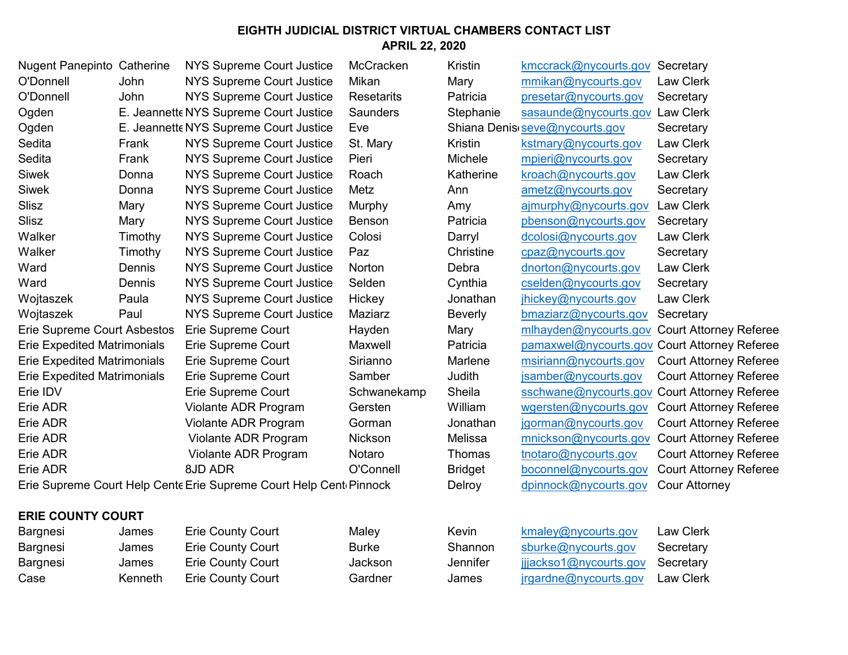| <b>Nugent Panepinto Catherine</b>  |         | NYS Supreme Court Justice                                          | McCracken         | Kristin        | kmccrack@nycourts.gov                        | Secretary                     |
|------------------------------------|---------|--------------------------------------------------------------------|-------------------|----------------|----------------------------------------------|-------------------------------|
| O'Donnell                          | John    | <b>NYS Supreme Court Justice</b>                                   | Mikan             | Mary           | mmikan@nycourts.gov                          | Law Clerk                     |
| O'Donnell                          | John    | <b>NYS Supreme Court Justice</b>                                   | <b>Resetarits</b> | Patricia       | presetar@nycourts.gov                        | Secretary                     |
| Ogden                              |         | E. Jeannette NYS Supreme Court Justice                             | <b>Saunders</b>   | Stephanie      | sasaunde@nycourts.gov                        | <b>Law Clerk</b>              |
| Ogden                              |         | E. Jeannette NYS Supreme Court Justice                             | Eve               |                | Shiana Denis seve@nycourts.gov               | Secretary                     |
| Sedita                             | Frank   | <b>NYS Supreme Court Justice</b>                                   | St. Mary          | Kristin        | kstmary@nycourts.gov                         | Law Clerk                     |
| Sedita                             | Frank   | <b>NYS Supreme Court Justice</b>                                   | Pieri             | Michele        | mpieri@nycourts.gov                          | Secretary                     |
| <b>Siwek</b>                       | Donna   | <b>NYS Supreme Court Justice</b>                                   | Roach             | Katherine      | kroach@nycourts.gov                          | Law Clerk                     |
| <b>Siwek</b>                       | Donna   | <b>NYS Supreme Court Justice</b>                                   | Metz              | Ann            | ametz@nycourts.gov                           | Secretary                     |
| Slisz                              | Mary    | <b>NYS Supreme Court Justice</b>                                   | Murphy            | Amy            | ajmurphy@nycourts.gov                        | Law Clerk                     |
| Slisz                              | Mary    | <b>NYS Supreme Court Justice</b>                                   | Benson            | Patricia       | pbenson@nycourts.gov                         | Secretary                     |
| Walker                             | Timothy | <b>NYS Supreme Court Justice</b>                                   | Colosi            | Darryl         | dcolosi@nycourts.gov                         | Law Clerk                     |
| Walker                             | Timothy | <b>NYS Supreme Court Justice</b>                                   | Paz               | Christine      | cpaz@nycourts.gov                            | Secretary                     |
| Ward                               | Dennis  | <b>NYS Supreme Court Justice</b>                                   | Norton            | Debra          | dnorton@nycourts.gov                         | Law Clerk                     |
| Ward                               | Dennis  | NYS Supreme Court Justice                                          | Selden            | Cynthia        | cselden@nycourts.gov                         | Secretary                     |
| Wojtaszek                          | Paula   | <b>NYS Supreme Court Justice</b>                                   | Hickey            | Jonathan       | jhickey@nycourts.gov                         | Law Clerk                     |
| Wojtaszek                          | Paul    | <b>NYS Supreme Court Justice</b>                                   | Maziarz           | <b>Beverly</b> | bmaziarz@nycourts.gov                        | Secretary                     |
| Erie Supreme Court Asbestos        |         | Erie Supreme Court                                                 | Hayden            | Mary           | mlhayden@nycourts.gov                        | <b>Court Attorney Referee</b> |
| <b>Erie Expedited Matrimonials</b> |         | Erie Supreme Court                                                 | Maxwell           | Patricia       | pamaxwel@nycourts.gov Court Attorney Referee |                               |
| <b>Erie Expedited Matrimonials</b> |         | Erie Supreme Court                                                 | Sirianno          | Marlene        | msiriann@nycourts.gov                        | <b>Court Attorney Referee</b> |
| <b>Erie Expedited Matrimonials</b> |         | Erie Supreme Court                                                 | Samber            | Judith         | jsamber@nycourts.gov                         | <b>Court Attorney Referee</b> |
| Erie IDV                           |         | Erie Supreme Court                                                 | Schwanekamp       | Sheila         | sschwane@nycourts.gov                        | <b>Court Attorney Referee</b> |
| Erie ADR                           |         | Violante ADR Program                                               | Gersten           | William        | wgersten@nycourts.gov                        | <b>Court Attorney Referee</b> |
| Erie ADR                           |         | Violante ADR Program                                               | Gorman            | Jonathan       | jgorman@nycourts.gov                         | <b>Court Attorney Referee</b> |
| Erie ADR                           |         | Violante ADR Program                                               | Nickson           | Melissa        | mnickson@nycourts.gov                        | <b>Court Attorney Referee</b> |
| Erie ADR                           |         | Violante ADR Program                                               | Notaro            | Thomas         | tnotaro@nycourts.gov                         | <b>Court Attorney Referee</b> |
| Erie ADR                           |         | 8JD ADR                                                            | O'Connell         | <b>Bridget</b> | boconnel@nycourts.gov                        | <b>Court Attorney Referee</b> |
|                                    |         | Erie Supreme Court Help Cente Erie Supreme Court Help Cent Pinnock |                   | Delroy         | dpinnock@nycourts.gov                        | <b>Cour Attorney</b>          |
|                                    |         |                                                                    |                   |                |                                              |                               |

## **ERIE COUNTY COURT**

| James   | <b>Erie County Cour</b> |
|---------|-------------------------|
| James   | <b>Erie County Cour</b> |
| James   | <b>Erie County Cour</b> |
| Kenneth | <b>Erie County Cour</b> |
|         |                         |

Find Maley Maley Kevin Kemaley@nycourts.gov Law Clerk Find the Burke County Shannon shurke@nycourts.gov Secretary Find the Sackson Count Counter The Count Jackson Jennifer ijjackso1@nycourts.gov Secretary Frie Cardner James jrgardne@nycourts.gov Law Clerk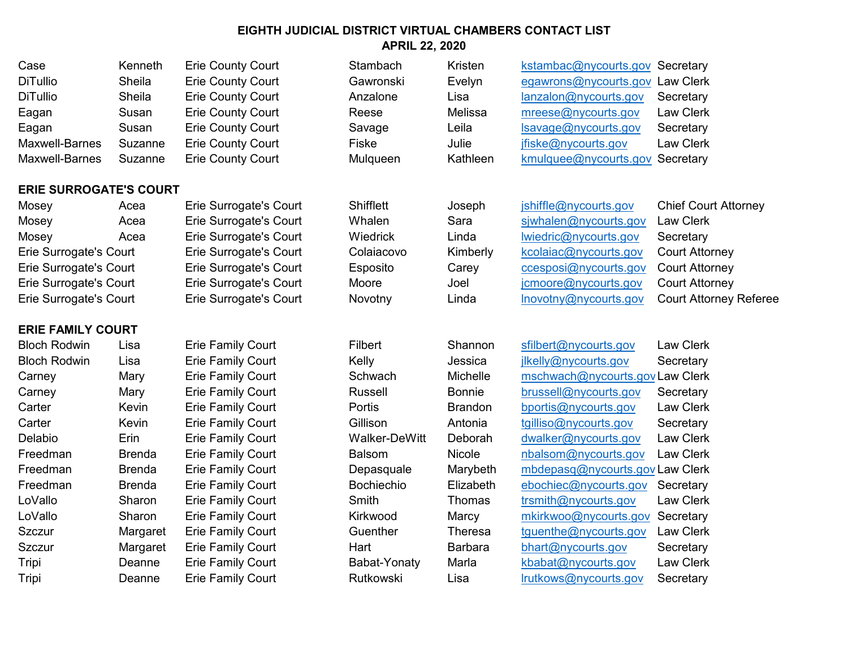| Case            | Kenneth | <b>Erie County Court</b> | Stambach  | Kristen  | kstambac@nycourts.gov Secretary |                  |
|-----------------|---------|--------------------------|-----------|----------|---------------------------------|------------------|
| <b>DiTullio</b> | Sheila  | <b>Erie County Court</b> | Gawronski | Evelyn   | egawrons@nycourts.gov Law Clerk |                  |
| <b>DiTullio</b> | Sheila  | <b>Erie County Court</b> | Anzalone  | Lisa     | lanzalon@nycourts.gov           | Secretary        |
| Eagan           | Susan   | <b>Erie County Court</b> | Reese     | Melissa  | mreese@nycourts.gov             | <b>Law Clerk</b> |
| Eagan           | Susan   | <b>Erie County Court</b> | Savage    | Leila    | Isavage@nycourts.gov            | Secretary        |
| Maxwell-Barnes  | Suzanne | <b>Erie County Court</b> | Fiske     | Julie    | jfiske@nycourts.gov             | <b>Law Clerk</b> |
| Maxwell-Barnes  | Suzanne | <b>Erie County Court</b> | Mulqueen  | Kathleen | kmulquee@nycourts.gov Secretary |                  |
|                 |         |                          |           |          |                                 |                  |

#### **ERIE SURROGATE'S COURT**

### **ERIE FAMILY COURT**

Mosey Acea Erie Surrogate's Court Shifflett Joseph jshiftle Court Chief Court Attorney

| n  | kstambac@nycourts.gov Secretary |           |
|----|---------------------------------|-----------|
| ٦  | egawrons@nycourts.gov Law Clerk |           |
|    | lanzalon@nycourts.gov           | Secretary |
| ă  | mreese@nycourts.gov             | Law Clerk |
|    | Isavage@nycourts.gov            | Secretary |
|    | jfiske@nycourts.gov             | Law Clerk |
| en | kmulquee@nycourts.gov Secretary |           |
|    |                                 |           |

| Mosey                  | Acea | Erie Surrogate's Court        | Shifflett  | Joseph   | jshiffle@nycourts.gov | <b>Chief Court Attorney</b>   |
|------------------------|------|-------------------------------|------------|----------|-----------------------|-------------------------------|
| Mosey                  | Acea | Erie Surrogate's Court        | Whalen     | Sara     | siwhalen@nycourts.gov | Law Clerk                     |
| Mosey                  | Acea | Erie Surrogate's Court        | Wiedrick   | Linda    | lwiedric@nycourts.gov | Secretary                     |
| Erie Surrogate's Court |      | Erie Surrogate's Court        | Colaiacovo | Kimberly | kcolaiac@nycourts.gov | <b>Court Attorney</b>         |
| Erie Surrogate's Court |      | Erie Surrogate's Court        | Esposito   | Carey    | ccesposi@nycourts.gov | <b>Court Attorney</b>         |
| Erie Surrogate's Court |      | <b>Erie Surrogate's Court</b> | Moore      | Joel     | jcmoore@nycourts.gov  | <b>Court Attorney</b>         |
| Erie Surrogate's Court |      | Erie Surrogate's Court        | Novotny    | Linda    | Inovotny@nycourts.gov | <b>Court Attorney Referee</b> |

Bloch Rodwin Lisa Erie Family Court Filbert Shannon sfilbert@nycourts.gov Law Clerk Bloch Rodwin Lisa Erie Family Court Kelly Kelly Jessica ilkelly@nycourts.gov Secretary Carney Mary Erie Family Court Schwach Michelle mschwach@nycourts.govLaw Clerk Carney **Mary Erie Family Court** Russell Bonnie brussell@nycourts.gov Secretary Carter **Kevin** Erie Family Court **Portis Brandon** bportis@nycourts.gov Law Clerk Carter **Kevin** Erie Family Court Gillison Antonia tgilliso@nycourts.gov Secretary Delabio Erin Erie Family Court Walker-DeWitt Deborah dwalker@nycourts.gov Law Clerk Freedman Brenda Erie Family Court Balsom Nicole nbalsom@nycourts.gov Law Clerk Freedman Brenda Erie Family Court Depasquale Marybeth mbdepasq@nycourts.gov Law Clerk Freedman Brenda Erie Family Court Bochiechio Elizabeth ebochiec@nycourts.gov Secretary LoVallo Sharon Erie Family Court Smith Thomas trsmith@nycourts.gov Law Clerk LoVallo Sharon Erie Family Court Kirkwood Marcy mkirkwoo@nycourts.gov Secretary Szczur **Margaret Erie Family Court** Guenther Theresa tguenthe@nycourts.gov Law Clerk Szczur **Margaret Erie Family Court** Hart Barbara bhart@nycourts.gov Secretary Tripi Cheanne Erie Family Court Babat-Yonaty Marla kbabat@nycourts.gov Law Clerk Tripi Cheanne Erie Family Court **Rutkowski** Lisa lrutkows@nycourts.gov Secretary